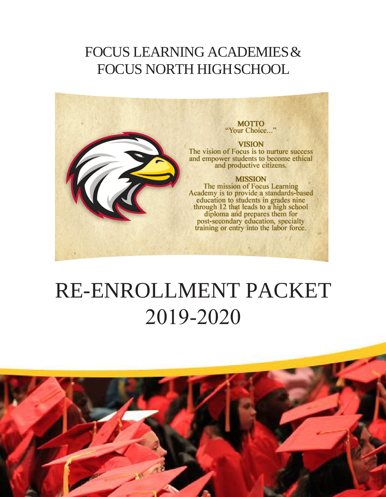## FOCUS LEARNING ACADEMIES& FOCUS NORTH HIGHSCHOOL



# RE-ENROLLMENT PACKET 2019-2020

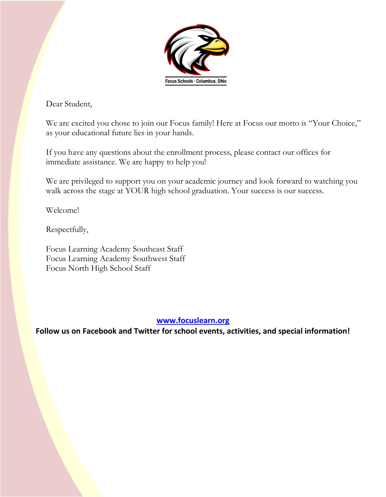

Dear Student,

We are excited you chose to join our Focus family! Here at Focus our motto is "Your Choice," as your educational future lies in your hands.

If you have any questions about the enrollment process, please contact our offices for immediate assistance. We are happy to help you!

We are privileged to support you on your academic journey and look forward to watching you walk across the stage at YOUR high school graduation. Your success is our success.

Welcome!

Respectfully,

Focus Learning Academy Southeast Staff Focus Learning Academy Southwest Staff Focus North High School Staff

#### **[www.focuslearn.org](http://www.focuslearn.org/)**

**Follow us on Facebook and Twitter for school events, activities, and special information!**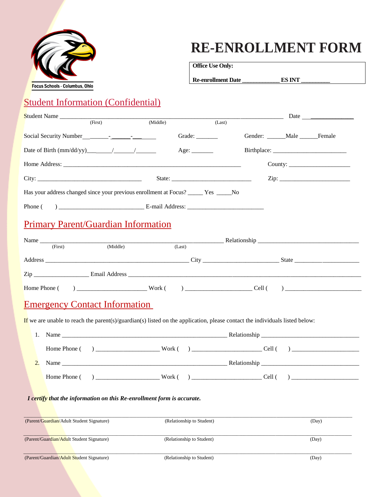

## **RE-ENROLLMENT FORM**

**Office Use Only:** 

Re-enrollment Date \_\_\_\_\_\_\_\_\_\_\_\_\_\_\_\_ ES INT

#### Student Information (Confidential)

| (First) | (Last)                                       |                                                                                                                                                                                                                                 |                                           |
|---------|----------------------------------------------|---------------------------------------------------------------------------------------------------------------------------------------------------------------------------------------------------------------------------------|-------------------------------------------|
|         |                                              |                                                                                                                                                                                                                                 |                                           |
|         |                                              |                                                                                                                                                                                                                                 |                                           |
|         |                                              |                                                                                                                                                                                                                                 |                                           |
|         |                                              |                                                                                                                                                                                                                                 |                                           |
|         |                                              |                                                                                                                                                                                                                                 |                                           |
|         |                                              |                                                                                                                                                                                                                                 |                                           |
|         | (Middle)<br>Date of Birth $(mm/dd/yy)$ / / / | Grade: $\frac{1}{\sqrt{1-\frac{1}{2}} \cdot \frac{1}{\sqrt{1-\frac{1}{2}} \cdot \frac{1}{2}}}}$<br>Age: $\_\_\_\_\_\_\_\_\_\_\_\_\_\$<br>Has your address changed since your previous enrollment at Focus? _______ Yes ______No | Gender: ______ Male ______ Female<br>Zip: |

#### Primary Parent/Guardian Information

| Name                                                                                                                                                                                                                                        |                                                                              |        |              |        |  |
|---------------------------------------------------------------------------------------------------------------------------------------------------------------------------------------------------------------------------------------------|------------------------------------------------------------------------------|--------|--------------|--------|--|
| (First)                                                                                                                                                                                                                                     | (Middle)                                                                     |        | (Last)       |        |  |
| Address                                                                                                                                                                                                                                     | <u> 1980 - Jan James James Barbara, martin da kasar Amerikaan (h. 1980).</u> |        | City         |        |  |
| Zip<br><b>Contract Contract Contract Contract Contract Contract Contract Contract Contract Contract Contract Contract Contract Contract Contract Contract Contract Contract Contract Contract Contract Contract Contract Contract Contr</b> |                                                                              |        |              |        |  |
| Home Phone (                                                                                                                                                                                                                                | $\overline{a}$                                                               | Work ( | $\mathbf{r}$ | Cell ( |  |

#### Emergency Contact Information

If we are unable to reach the parent(s)/guardian(s) listed on the application, please contact the individuals listed below:

|  | Home Phone ( ) Work ( ) Cell ( ) |  |
|--|----------------------------------|--|
|  |                                  |  |

#### *I certify that the information on this Re-enrollment form is accurate.*

| (Parent/Guardian/Adult Student Signature) | (Relationship to Student) | (Day) |
|-------------------------------------------|---------------------------|-------|
| (Parent/Guardian/Adult Student Signature) | (Relationship to Student) | (Day) |
| (Parent/Guardian/Adult Student Signature) | (Relationship to Student) | (Day) |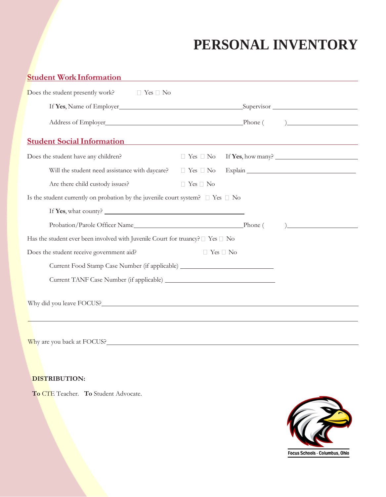## **PERSONAL INVENTORY**

| <b>Student Work Information</b>                                                                    |                      |                                        |
|----------------------------------------------------------------------------------------------------|----------------------|----------------------------------------|
| Does the student presently work? $\Box$ Yes $\Box$ No                                              |                      |                                        |
|                                                                                                    |                      |                                        |
|                                                                                                    |                      |                                        |
| <b>Student Social Information</b>                                                                  |                      |                                        |
| Does the student have any children?                                                                |                      | $\Box$ Yes $\Box$ No If Yes, how many? |
| Will the student need assistance with daycare? $\square$ Yes $\square$ No $\square$ Explain $\_\_$ |                      |                                        |
| Are there child custody issues?                                                                    | $\Box$ Yes $\Box$ No |                                        |
| Is the student currently on probation by the juvenile court system? $\Box$ Yes $\Box$ No           |                      |                                        |
|                                                                                                    |                      |                                        |
|                                                                                                    |                      | $\frac{1}{2}$                          |
| Has the student ever been involved with Juvenile Court for truancy? $\Box$ Yes $\Box$ No           |                      |                                        |
| Does the student receive government aid?                                                           | $\Box$ Yes $\Box$ No |                                        |
| Current Food Stamp Case Number (if applicable) _________________________________                   |                      |                                        |
|                                                                                                    |                      |                                        |
| Why did you leave FOCUS?                                                                           |                      |                                        |
|                                                                                                    |                      |                                        |
|                                                                                                    |                      |                                        |

Why are you back at FOCUS?

#### **DISTRIBUTION:**

**To** CTE Teacher. **To** Student Advocate.

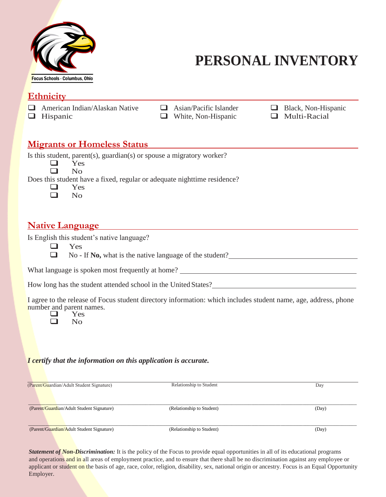

## **PERSONAL INVENTORY**

#### **Ethnicity**

 $\Box$  White, Non-Hispanic

American Indian/Alaskan Native  $\Box$  Asian/Pacific Islander  $\Box$  Black, Non-Hispanic  $\Box$  Hispanic  $\Box$  Hispanic  $\Box$  Multi-Racial

#### **Migrants or Homeless Status**

Is this student, parent(s), guardian(s) or spouse a migratory worker?

 $\Box$  Yes  $\Box$  Yes

Does this student have a fixed, regular or adequate nighttime residence?

 $\Box$  Yes

No

#### **Native Language**

Is English this student's native language?

**Q** Yes

No - If **No,** what is the native language of the student?

What language is spoken most frequently at home?

How long has the student attended school in the United States?

I agree to the release of Focus student directory information: which includes student name, age, address, phone number and parent names.<br>
Yes

 $\Box$  Yes

#### *I certify that the information on this application is accurate.*

| (Parent/Guardian/Adult Student Signature) | Relationship to Student   | Day   |
|-------------------------------------------|---------------------------|-------|
| (Parent/Guardian/Adult Student Signature) | (Relationship to Student) | (Day) |
| (Parent/Guardian/Adult Student Signature) | (Relationship to Student) | (Day) |

*Statement of Non-Discrimination:* It is the policy of the Focus to provide equal opportunities in all of its educational programs and operations and in all areas of employment practice, and to ensure that there shall be no discrimination against any employee or applicant or student on the basis [of age, race, color, religion, disab](http://www.focuslearn.org/)i[lity, sex, national origin or ancest](mailto:INFO@FOCUSLEARN.ORG)ry. Focus is an Equal Opportunity Employer.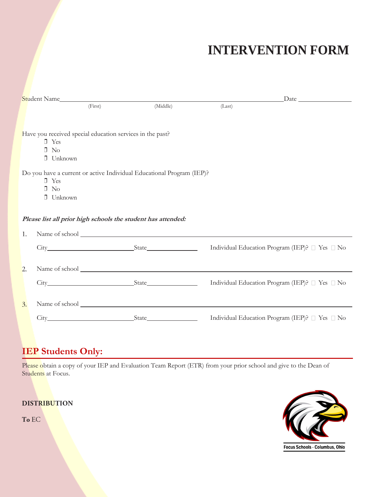## **INTERVENTION FORM**

|                  |                                                           | (First) | (Middle)                                                              | (Last) |                                                |
|------------------|-----------------------------------------------------------|---------|-----------------------------------------------------------------------|--------|------------------------------------------------|
|                  |                                                           |         |                                                                       |        |                                                |
|                  |                                                           |         |                                                                       |        |                                                |
|                  | Have you received special education services in the past? |         |                                                                       |        |                                                |
|                  | $\Box$ Yes<br>$\Box$ No                                   |         |                                                                       |        |                                                |
|                  | $\Box$ Unknown                                            |         |                                                                       |        |                                                |
|                  |                                                           |         |                                                                       |        |                                                |
|                  |                                                           |         | Do you have a current or active Individual Educational Program (IEP)? |        |                                                |
|                  | $\Box$ Yes                                                |         |                                                                       |        |                                                |
|                  | $\Box$ No<br>$\Box$ Unknown                               |         |                                                                       |        |                                                |
|                  |                                                           |         |                                                                       |        |                                                |
|                  |                                                           |         |                                                                       |        |                                                |
|                  |                                                           |         | Please list all prior high schools the student has attended:          |        |                                                |
| 1.               |                                                           |         |                                                                       |        |                                                |
|                  |                                                           |         |                                                                       |        | Individual Education Program (IEP)? □ Yes □ No |
|                  |                                                           |         |                                                                       |        |                                                |
|                  |                                                           |         |                                                                       |        |                                                |
| 2.               |                                                           |         |                                                                       |        |                                                |
|                  |                                                           |         |                                                                       |        | Individual Education Program (IEP)? □ Yes □ No |
|                  |                                                           |         |                                                                       |        |                                                |
| $\mathfrak{Z}$ . |                                                           |         |                                                                       |        |                                                |
|                  |                                                           |         |                                                                       |        |                                                |
|                  |                                                           |         |                                                                       |        | Individual Education Program (IEP)? □ Yes □ No |
|                  |                                                           |         |                                                                       |        |                                                |

#### **IEP Students Only:**

Please obtain a copy of your IEP and Evaluation Team Report (ETR) from your prior school and give to the Dean of Students at Focus.

#### **DISTRIBUTION**

To EC

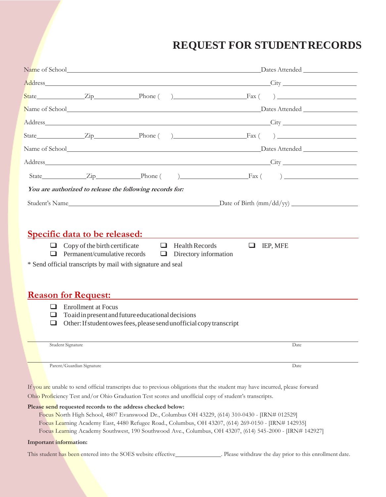## **REQUEST FOR STUDENTRECORDS**

|                        |                            |                                                                                                                                                                                                                               | State Zip Phone () Fax ()                                                                                                                                                                                                                                                                                         |
|------------------------|----------------------------|-------------------------------------------------------------------------------------------------------------------------------------------------------------------------------------------------------------------------------|-------------------------------------------------------------------------------------------------------------------------------------------------------------------------------------------------------------------------------------------------------------------------------------------------------------------|
|                        |                            |                                                                                                                                                                                                                               |                                                                                                                                                                                                                                                                                                                   |
|                        |                            |                                                                                                                                                                                                                               |                                                                                                                                                                                                                                                                                                                   |
|                        |                            |                                                                                                                                                                                                                               | State $\qquad \qquad \text{Zip} \qquad \qquad \text{Phone} \qquad \qquad \text{Phone} \qquad \qquad \text{Fix} \qquad \qquad \text{Fix} \qquad \text{?}$                                                                                                                                                          |
|                        |                            |                                                                                                                                                                                                                               |                                                                                                                                                                                                                                                                                                                   |
|                        |                            |                                                                                                                                                                                                                               |                                                                                                                                                                                                                                                                                                                   |
|                        |                            |                                                                                                                                                                                                                               |                                                                                                                                                                                                                                                                                                                   |
|                        |                            | You are authorized to release the following records for:                                                                                                                                                                      |                                                                                                                                                                                                                                                                                                                   |
|                        |                            |                                                                                                                                                                                                                               |                                                                                                                                                                                                                                                                                                                   |
| ப<br>⊔<br>❏            | <b>Enrollment at Focus</b> | * Send official transcripts by mail with signature and seal<br><u><b>Reason for Request:</b></u><br>To aid in present and future educational decisions<br>Other: If student owes fees, please send unofficial copy transcript |                                                                                                                                                                                                                                                                                                                   |
|                        |                            |                                                                                                                                                                                                                               |                                                                                                                                                                                                                                                                                                                   |
| Student Signature      |                            |                                                                                                                                                                                                                               | Date                                                                                                                                                                                                                                                                                                              |
|                        | Parent/Guardian Signature  |                                                                                                                                                                                                                               | Date<br>If you are unable to send official transcripts due to previous obligations that the student may have incurred, please forward<br>Ohio Proficiency Test and/or Ohio Graduation Test scores and unofficial copy of student's transcripts.                                                                   |
| Important information: |                            | Please send requested records to the address checked below:                                                                                                                                                                   | Focus North High School, 4807 Evanswood Dr., Columbus OH 43229, (614) 310-0430 - [IRN# 012529]<br>Focus Learning Academy East, 4480 Refugee Road., Columbus, OH 43207, (614) 269-0150 - [IRN# 142935]<br>Focus Learning Academy Southwest, 190 Southwood Ave., Columbus, OH 43207, (614) 545-2000 - [IRN# 142927] |
|                        |                            | This student has been entered into the SOES website effective_                                                                                                                                                                | Please withdraw the day prior to this enrollment date.                                                                                                                                                                                                                                                            |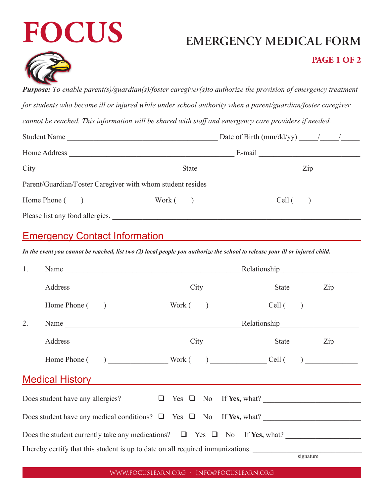# **FOCUS EMERGENCY MEDICAL FORM**



#### **PAGE 1 OF 2**

*Purpose: To enable parent(s)/guardian(s)/foster caregiver(s)to authorize the provision of emergency treatment for students who become ill or injured while under school authority when a parent/guardian/foster caregiver*

*cannot be reached. This information will be shared with staff and emergency care providers if needed.*

| Student Name                                                                                                                                                                                                                   |  |  |                                                                                 |  |
|--------------------------------------------------------------------------------------------------------------------------------------------------------------------------------------------------------------------------------|--|--|---------------------------------------------------------------------------------|--|
| Home Address and the contract of the state of the state of the state of the state of the state of the state of the state of the state of the state of the state of the state of the state of the state of the state of the sta |  |  |                                                                                 |  |
| City                                                                                                                                                                                                                           |  |  | $\mathsf{Zip}_{\_\_\_\_\_\_\_\_\_\_\_\_\_\_\_\_\_\_\_\_\_\_\_\_\_\_\_\_\_\_\_}$ |  |
| Parent/Guardian/Foster Caregiver with whom student resides                                                                                                                                                                     |  |  |                                                                                 |  |
| Home Phone $( )$ Work $( )$ Cell $( )$                                                                                                                                                                                         |  |  |                                                                                 |  |
|                                                                                                                                                                                                                                |  |  |                                                                                 |  |

#### Emergency Contact Information

*In the event you cannot be reached, list two (2) local people you authorize the school to release your ill or injured child.*

| 1. |                                                                                                                                                                                                                                      |  |  |  |  |               |  |
|----|--------------------------------------------------------------------------------------------------------------------------------------------------------------------------------------------------------------------------------------|--|--|--|--|---------------|--|
|    |                                                                                                                                                                                                                                      |  |  |  |  |               |  |
|    |                                                                                                                                                                                                                                      |  |  |  |  |               |  |
| 2. |                                                                                                                                                                                                                                      |  |  |  |  |               |  |
|    |                                                                                                                                                                                                                                      |  |  |  |  |               |  |
|    |                                                                                                                                                                                                                                      |  |  |  |  |               |  |
|    | Medical History <b>Contract Contract Contract Contract Contract Contract Contract Contract Contract Contract Contract Contract Contract Contract Contract Contract Contract Contract Contract Contract Contract Contract Contrac</b> |  |  |  |  |               |  |
|    | Does student have any allergies? $\Box$ Yes $\Box$ No If Yes, what?                                                                                                                                                                  |  |  |  |  |               |  |
|    | Does student have any medical conditions? $\Box$ Yes $\Box$ No If Yes, what?                                                                                                                                                         |  |  |  |  |               |  |
|    | Does the student currently take any medications? $\Box$ Yes $\Box$ No If Yes, what?                                                                                                                                                  |  |  |  |  |               |  |
|    | I hereby certify that this student is up to date on all required immunizations.                                                                                                                                                      |  |  |  |  | $ri$ and $ri$ |  |